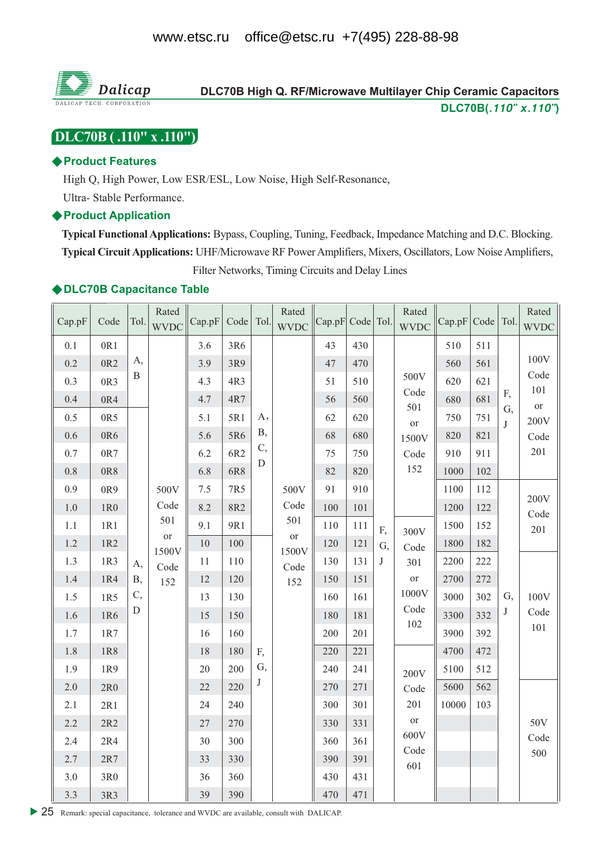

# DLC70B High Q. RF/Microwave Multilayer Chip Ceramic Capacitors DLC70B(.110" x.110")

# [DLC70B (.110" x .110")]

### ◆ Product Features

High Q, High Power, Low ESR/ESL, Low Noise, High Self-Resonance,

Ultra-Stable Performance.

### ♦ Product Application

Typical Functional Applications: Bypass, Coupling, Tuning, Feedback, Impedance Matching and D.C. Blocking. Typical Circuit Applications: UHF/Microwave RF Power Amplifiers, Mixers, Oscillators, Low Noise Amplifiers, Filter Networks, Timing Circuits and Delay Lines

## ◆DLC70B Capacitance Table

| Cap.pF  | Code            | Tol.       | Rated<br><b>WVDC</b> | Cap.pF | Code   Tol. |            | Rated<br><b>WVDC</b> | Cap.pF Code Tol. |     |              | Rated<br><b>WVDC</b> | Cap.pF | Code   Tol. |         | Rated<br><b>WVDC</b> |
|---------|-----------------|------------|----------------------|--------|-------------|------------|----------------------|------------------|-----|--------------|----------------------|--------|-------------|---------|----------------------|
| 0.1     | 0R1             |            |                      | 3.6    | 3R6         |            |                      | 43               | 430 |              |                      | 510    | 511         |         |                      |
| 0.2     | 0R <sub>2</sub> | A,         |                      | 3.9    | 3R9         |            |                      | 47               | 470 |              |                      | 560    | 561         |         | 100V                 |
| 0.3     | 0R3             | B          |                      | 4.3    | 4R3         |            |                      | 51               | 510 |              | 500V                 | 620    | 621         |         | Code                 |
| 0.4     | 0R4             |            |                      | 4.7    | 4R7         |            |                      | 56               | 560 |              | Code                 | 680    | 681         | F,      | 101<br><b>or</b>     |
| 0.5     | 0R5             |            |                      | 5.1    | 5R1         | A,         |                      | 62               | 620 |              | 501<br><b>or</b>     | 750    | 751         | G,<br>J | 200V                 |
| 0.6     | 0R6             |            |                      | 5.6    | 5R6         | <b>B</b> , |                      | 68               | 680 |              | 1500V                | 820    | 821         |         | Code                 |
| $0.7\,$ | 0R7             |            |                      | 6.2    | 6R2         | C,         |                      | 75               | 750 |              | Code                 | 910    | 911         |         | 201                  |
| $0.8\,$ | 0R8             |            |                      | 6.8    | 6R8         | D          |                      | 82               | 820 |              | 152                  | 1000   | 102         |         |                      |
| 0.9     | 0R9             |            | 500V                 | 7.5    | 7R5         |            | 500V                 | 91               | 910 |              |                      | 1100   | 112         |         |                      |
| $1.0\,$ | 1R0             |            | Code                 | 8.2    | 8R2         |            | Code                 | 100              | 101 |              |                      | 1200   | 122         |         | 200V<br>Code         |
| 1.1     | 1R1             |            | 501                  | 9.1    | 9R1         |            | 501                  | 110              | 111 | F,           | 300V                 | 1500   | 152         |         | 201                  |
| 1.2     | 1R2             |            | <b>or</b><br>1500V   | 10     | 100         |            | <b>or</b><br>1500V   | 120              | 121 | G,           | Code                 | 1800   | 182         |         |                      |
| 1.3     | 1R3             | A,         | Code                 | 11     | 110         |            | Code                 | 130              | 131 | $\mathbf{J}$ | 301                  | 2200   | 222         |         |                      |
| 1.4     | 1R4             | <b>B</b> , | 152                  | 12     | 120         |            | 152                  | 150              | 151 |              | <b>or</b>            | 2700   | 272         |         |                      |
| $1.5\,$ | 1R5             | C,         |                      | 13     | 130         |            |                      | 160              | 161 |              | 1000V                | 3000   | 302         | G,      | 100V                 |
| 1.6     | 1R6             | D          |                      | 15     | 150         |            |                      | 180              | 181 |              | Code<br>102          | 3300   | 332         | J       | Code                 |
| 1.7     | 1R7             |            |                      | 16     | 160         |            |                      | 200              | 201 |              |                      | 3900   | 392         |         | 101                  |
| 1.8     | 1R8             |            |                      | 18     | 180         | F,         |                      | 220              | 221 |              |                      | 4700   | 472         |         |                      |
| 1.9     | 1R9             |            |                      | 20     | 200         | G,         |                      | 240              | 241 |              | 200V                 | 5100   | 512         |         |                      |
| 2.0     | $2{\rm R}0$     |            |                      | 22     | 220         | J          |                      | 270              | 271 |              | Code                 | 5600   | 562         |         |                      |
| 2.1     | 2R1             |            |                      | 24     | 240         |            |                      | 300              | 301 |              | 201                  | 10000  | 103         |         |                      |
| 2.2     | 2R2             |            |                      | $27\,$ | 270         |            |                      | 330              | 331 |              | <b>or</b>            |        |             |         | 50V                  |
| 2.4     | $2R4$           |            |                      | 30     | 300         |            |                      | 360              | 361 |              | 600V<br>Code         |        |             |         | Code                 |
| 2.7     | 2R7             |            |                      | 33     | 330         |            |                      | 390              | 391 |              | 601                  |        |             |         | 500                  |
| $3.0\,$ | 3R0             |            |                      | 36     | 360         |            |                      | 430              | 431 |              |                      |        |             |         |                      |
| 3.3     | 3R3             |            |                      | 39     | 390         |            |                      | 470              | 471 |              |                      |        |             |         |                      |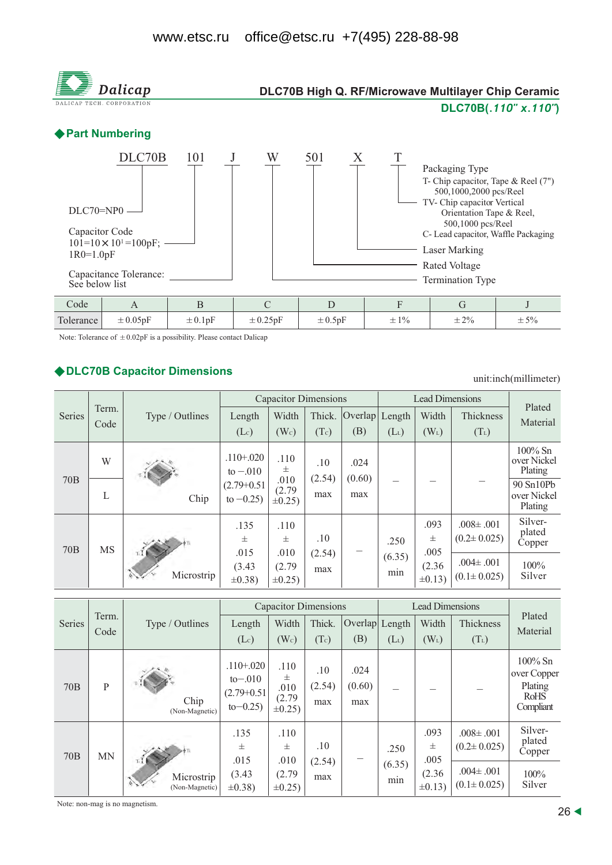

Note: Tolerance of  $\pm 0.02pF$  is a possibility. Please contact Dalicap

### ◆ DLC70B Capacitor Dimensions

unit:inch(millimeter)

|                 |               |                    |                                        | <b>Capacitor Dimensions</b>  |               | <b>Lead Dimensions</b>      | Plated            |                                      |                                      |                                      |
|-----------------|---------------|--------------------|----------------------------------------|------------------------------|---------------|-----------------------------|-------------------|--------------------------------------|--------------------------------------|--------------------------------------|
| <b>Series</b>   | Term.<br>Code | Type / Outlines    | Length                                 | Width                        | Thick.        | $\overline{\text{Overlap}}$ | Length            | Width<br>Thickness                   |                                      | Material                             |
|                 |               |                    | (Lc)                                   | (W <sub>c</sub> )            | (Tc)          | (B)                         | $(L_L)$           | $(W_L)$                              | $(T_L)$                              |                                      |
|                 | W             |                    | $.110 + .020$<br>to $-.010$            | .110<br>士                    | .10           | .024                        |                   |                                      |                                      | $100\%$ Sn<br>over Nickel<br>Plating |
| 70B             | L             | Chip               | $(2.79+0.51)$<br>to $-0.25$ )          | .010<br>(2.79)<br>$\pm 0.25$ | (2.54)<br>max | (0.60)<br>max               |                   |                                      |                                      | 90 Sn10Pb<br>over Nickel<br>Plating  |
| 70 <sub>B</sub> | <b>MS</b>     | TI M<br>Microstrip | .135<br>.110<br>士<br>士<br>.010<br>.015 | .10                          |               | .250                        | .093<br>士<br>.005 | $.008 \pm .001$<br>$(0.2 \pm 0.025)$ | Silver-<br>plated<br>Copper          |                                      |
|                 |               |                    | (3.43)<br>$\pm 0.38$ )                 | (2.79)<br>$\pm 0.25$ )       | (2.54)<br>max |                             | (6.35)<br>min     | (2.36)<br>$\pm 0.13$ )               | $.004 \pm .001$<br>$(0.1 \pm 0.025)$ | $100\%$<br>Silver                    |

|                 |           |                                     |                                                            |                                             | <b>Capacitor Dimensions</b> |                       | <b>Lead Dimensions</b> |                                           |                                                                              |                                                                  |
|-----------------|-----------|-------------------------------------|------------------------------------------------------------|---------------------------------------------|-----------------------------|-----------------------|------------------------|-------------------------------------------|------------------------------------------------------------------------------|------------------------------------------------------------------|
| Series          | Term.     | Type / Outlines                     | Length                                                     | Width                                       | Thick.                      | Overlap               | Length                 | Width                                     | Thickness                                                                    | Plated<br>Material                                               |
|                 | Code      |                                     | $(L_c)$                                                    | (W <sub>c</sub> )                           | (Tc)                        | (B)                   | $(L_L)$                | $(W_L)$                                   | $(T_L)$                                                                      |                                                                  |
| <b>70B</b>      | P         | Chip<br>(Non-Magnetic)              | $.110 + .020$<br>$to-.010$<br>$(2.79+0.51)$<br>$to -0.25)$ | .110<br>士<br>.010<br>(2.79)<br>$\pm 0.25$ ) | .10<br>(2.54)<br>max        | .024<br>(0.60)<br>max |                        |                                           |                                                                              | $100\%$ Sn<br>over Copper<br>Plating<br><b>RoHS</b><br>Compliant |
| 70 <sub>B</sub> | <b>MN</b> | πI.<br>Microstrip<br>(Non-Magnetic) | .135<br>士<br>.015<br>(3.43)<br>$\pm 0.38$ )                | .110<br>士<br>.010<br>(2.79)<br>$\pm 0.25$   | .10<br>(2.54)<br>max        |                       | .250<br>(6.35)<br>min  | .093<br>士<br>.005<br>(2.36)<br>$\pm 0.13$ | $.008 \pm .001$<br>$(0.2 \pm 0.025)$<br>$.004 \pm .001$<br>$(0.1 \pm 0.025)$ | Silver-<br>plated<br>Copper<br>$100\%$<br>Silver                 |

Note: non-mag is no magnetism.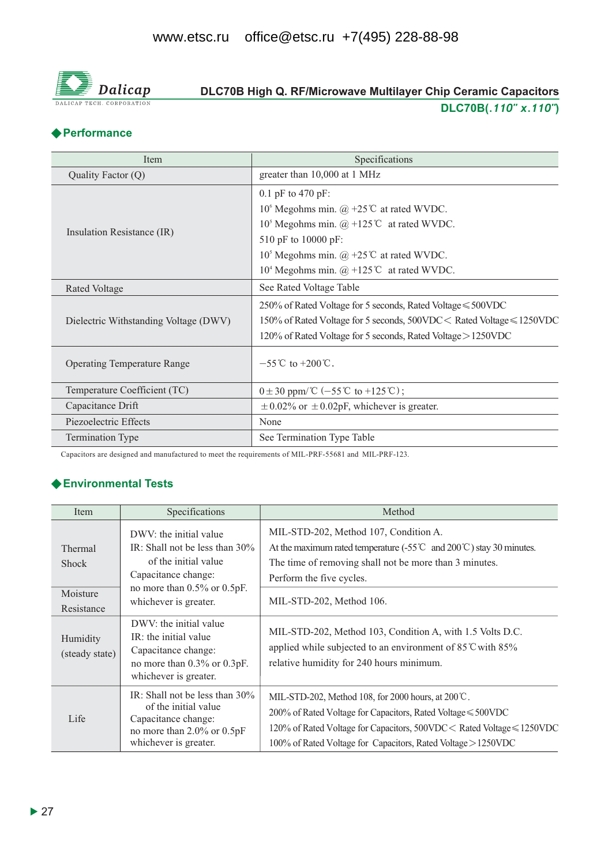

# DLC70B High Q. RF/Microwave Multilayer Chip Ceramic Capacitors DLC70B(.110" x.110")

# ◆ Performance

| Item                                  | Specifications                                                                     |
|---------------------------------------|------------------------------------------------------------------------------------|
| Quality Factor (Q)                    | greater than 10,000 at 1 MHz                                                       |
|                                       | $0.1$ pF to 470 pF:                                                                |
|                                       | 10 <sup>6</sup> Megohms min. $\omega$ +25°C at rated WVDC.                         |
|                                       | 10 <sup>5</sup> Megohms min. $@ + 125$ °C at rated WVDC.                           |
| Insulation Resistance (IR)            | 510 pF to 10000 pF:                                                                |
|                                       | 10 <sup>5</sup> Megohms min. @ +25 <sup>°</sup> C at rated WVDC.                   |
|                                       | 10 <sup>4</sup> Megohms min. $(\hat{\omega}) + 125^{\circ}\text{C}$ at rated WVDC. |
| Rated Voltage                         | See Rated Voltage Table                                                            |
|                                       | 250% of Rated Voltage for 5 seconds, Rated Voltage ≤ 500VDC                        |
| Dielectric Withstanding Voltage (DWV) | 150% of Rated Voltage for 5 seconds, 500VDC < Rated Voltage ≤ 1250VDC              |
|                                       | 120% of Rated Voltage for 5 seconds, Rated Voltage > 1250VDC                       |
| <b>Operating Temperature Range</b>    | $-55^{\circ}$ C to $+200^{\circ}$ C.                                               |
| Temperature Coefficient (TC)          | $0 \pm 30$ ppm/°C (-55°C to +125°C);                                               |
| Capacitance Drift                     | $\pm$ 0.02% or $\pm$ 0.02pF, whichever is greater.                                 |
| Piezoelectric Effects                 | None                                                                               |
| <b>Termination Type</b>               | See Termination Type Table                                                         |

Capacitors are designed and manufactured to meet the requirements of MIL-PRF-55681 and MIL-PRF-123.

# ← Environmental Tests

| Item                                | Specifications                                                                                                                                  | Method                                                                                                                                                                                                                                                              |
|-------------------------------------|-------------------------------------------------------------------------------------------------------------------------------------------------|---------------------------------------------------------------------------------------------------------------------------------------------------------------------------------------------------------------------------------------------------------------------|
| Thermal<br><b>Shock</b><br>Moisture | DWV: the initial value<br>IR: Shall not be less than $30\%$<br>of the initial value<br>Capacitance change:<br>no more than $0.5\%$ or $0.5pF$ . | MIL-STD-202, Method 107, Condition A.<br>At the maximum rated temperature $(-55^{\circ}\text{C} \text{ and } 200^{\circ}\text{C})$ stay 30 minutes.<br>The time of removing shall not be more than 3 minutes.<br>Perform the five cycles.                           |
| Resistance                          | whichever is greater.                                                                                                                           | MIL-STD-202, Method 106.                                                                                                                                                                                                                                            |
| Humidity<br>(steady state)          | DWV: the initial value<br>IR: the initial value<br>Capacitance change:<br>no more than 0.3% or 0.3pF.<br>whichever is greater.                  | MIL-STD-202, Method 103, Condition A, with 1.5 Volts D.C.<br>applied while subjected to an environment of 85 °C with 85%<br>relative humidity for 240 hours minimum.                                                                                                |
| Life                                | IR: Shall not be less than $30\%$<br>of the initial value<br>Capacitance change:<br>no more than 2.0% or 0.5pF<br>whichever is greater.         | MIL-STD-202, Method 108, for 2000 hours, at 200°C.<br>200% of Rated Voltage for Capacitors, Rated Voltage $\leq 500$ VDC<br>120% of Rated Voltage for Capacitors, 500VDC < Rated Voltage ≤ 1250VDC<br>100% of Rated Voltage for Capacitors, Rated Voltage > 1250VDC |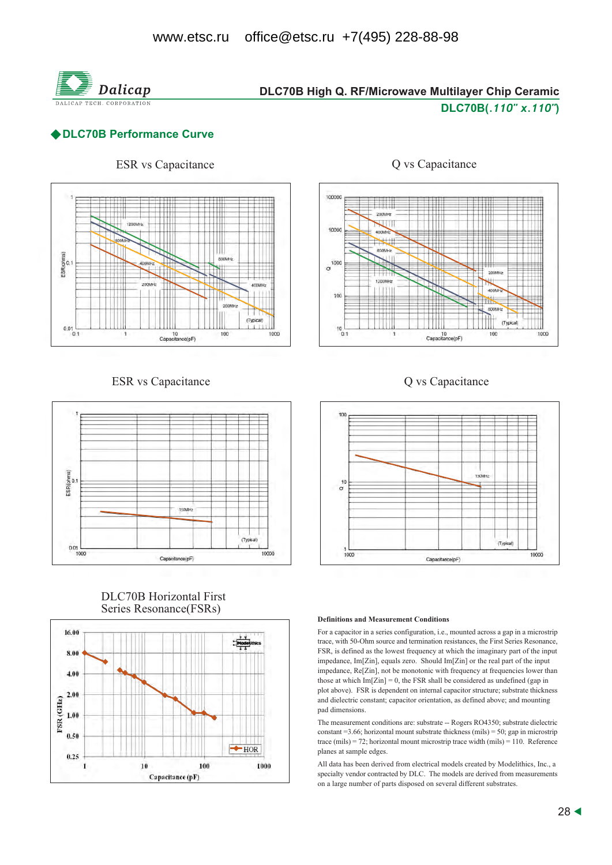

# DLC70B High Q. RF/Microwave Multilayer Chip Ceramic DLC70B(.110" x.110")

## ◆ DLC70B Performance Curve



### **ESR** vs Capacitance



### **DLC70B** Horizontal First Series Resonance(FSRs)





### Q vs Capacitance





### **Definitions and Measurement Conditions**

For a capacitor in a series configuration, i.e., mounted across a gap in a microstrip trace, with 50-Ohm source and termination resistances, the First Series Resonance, FSR, is defined as the lowest frequency at which the imaginary part of the input impedance, Im<sub>[Zin]</sub>, equals zero. Should Im<sub>[Zin]</sub> or the real part of the input impedance, Re[Zin], not be monotonic with frequency at frequencies lower than those at which  $Im[Zin] = 0$ , the FSR shall be considered as undefined (gap in plot above). FSR is dependent on internal capacitor structure; substrate thickness and dielectric constant; capacitor orientation, as defined above; and mounting pad dimensions.

The measurement conditions are: substrate -- Rogers RO4350; substrate dielectric constant = 3.66; horizontal mount substrate thickness (mils) = 50; gap in microstrip trace (mils) = 72; horizontal mount microstrip trace width (mils) = 110. Reference planes at sample edges.

All data has been derived from electrical models created by Modelithics, Inc., a specialty vendor contracted by DLC. The models are derived from measurements on a large number of parts disposed on several different substrates.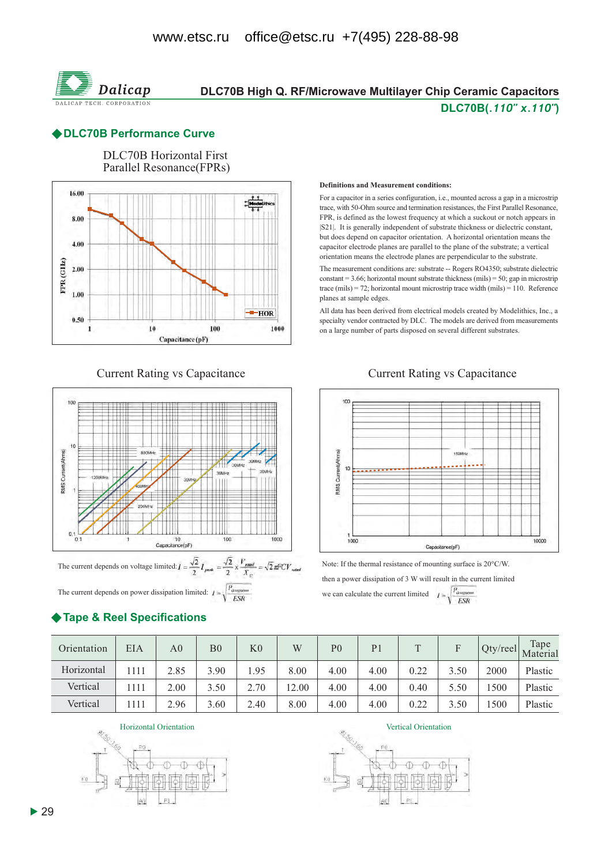

# DLC70B High Q. RF/Microwave Multilayer Chip Ceramic Capacitors DLC70B(.110" x.110")

### ◆ DLC70B Performance Curve



### **Current Rating vs Capacitance**



The current depends on power dissipation limited:  $I = \sqrt{\frac{P_{\text{downman}}}{ESR}}$ 

# ◆ Tape & Reel Specifications

#### **Definitions and Measurement conditions:**

For a capacitor in a series configuration, i.e., mounted across a gap in a microstrip trace, with 50-Ohm source and termination resistances, the First Parallel Resonance, FPR, is defined as the lowest frequency at which a suckout or notch appears in [S21]. It is generally independent of substrate thickness or dielectric constant, but does depend on capacitor orientation. A horizontal orientation means the capacitor electrode planes are parallel to the plane of the substrate; a vertical orientation means the electrode planes are perpendicular to the substrate.

The measurement conditions are: substrate -- Rogers RO4350; substrate dielectric constant = 3.66; horizontal mount substrate thickness (mils) = 50; gap in microstrip trace (mils) = 72; horizontal mount microstrip trace width (mils) = 110. Reference planes at sample edges.

All data has been derived from electrical models created by Modelithics, Inc., a specialty vendor contracted by DLC. The models are derived from measurements on a large number of parts disposed on several different substrates.

### **Current Rating vs Capacitance**



Note: If the thermal resistance of mounting surface is 20°C/W.

then a power dissipation of 3 W will result in the current limited we can calculate the current limited  $I = \sqrt{\frac{P_{\text{downum}}}{ESR}}$ 

| Orientation | EIA  | A0   | B <sub>0</sub> | K <sub>0</sub> | W     | P <sub>0</sub> | P <sub>1</sub> | $\mathbf T$ |      | Qty/reel | Tape<br>Material |
|-------------|------|------|----------------|----------------|-------|----------------|----------------|-------------|------|----------|------------------|
| Horizontal  | 1111 | 2.85 | 3.90           | l.95           | 8.00  | 4.00           | 4.00           | 0.22        | 3.50 | 2000     | Plastic          |
| Vertical    | 1111 | 2.00 | 3.50           | 2.70           | 12.00 | 4.00           | 4.00           | 0.40        | 5.50 | 500      | Plastic          |
| Vertical    | 1111 | 2.96 | 3.60           | 2.40           | 8.00  | 4.00           | 4.00           | 0.22        | 3.50 | 500      | Plastic          |

Horizontal Orientation



Vertical Orientation